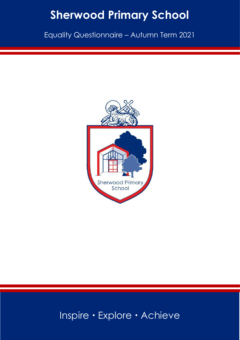# **Sherwood Primary School**

Equality Questionnaire – Autumn Term 2021



## Inspire · Explore · Achieve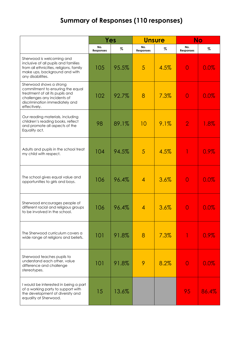### **Summary of Responses (110 responses)**

|                                                                                                                                                                                 | Yes              |       | <b>Unsure</b>           |      | <b>No</b>               |       |
|---------------------------------------------------------------------------------------------------------------------------------------------------------------------------------|------------------|-------|-------------------------|------|-------------------------|-------|
|                                                                                                                                                                                 | No.<br>Responses | %     | No.<br><b>Responses</b> | %    | No.<br><b>Responses</b> | $\%$  |
| Sherwood is welcoming and<br>inclusive of all pupils and families<br>from all ethnicities, religions, family<br>make ups, background and with<br>any disabilities.              | 105              | 95.5% | 5                       | 4.5% | $\overline{0}$          | 0.0%  |
| Sherwood shows a strong<br>commitment to ensuring the equal<br>treatment of all its pupils and<br>challenges any incidents of<br>discrimination immediately and<br>effectively. | 102              | 92.7% | 8                       | 7.3% | $\overline{0}$          | 0.0%  |
| Our reading materials, including<br>children's reading books, reflect<br>and promote all aspects of the<br>Equality act.                                                        | 98               | 89.1% | 10                      | 9.1% | $\overline{2}$          | 1.8%  |
| Adults and pupils in the school treat<br>my child with respect.                                                                                                                 | 104              | 94.5% | 5                       | 4.5% |                         | 0.9%  |
| The school gives equal value and<br>opportunities to girls and boys.                                                                                                            | 106              | 96.4% | $\overline{4}$          | 3.6% | $\overline{0}$          | 0.0%  |
| Sherwood encourages people of<br>different racial and religious groups<br>to be involved in the school.                                                                         | 106              | 96.4% | $\overline{4}$          | 3.6% | 0                       | 0.0%  |
| The Sherwood curriculum covers a<br>wide range of religions and beliefs.                                                                                                        | 101              | 91.8% | 8                       | 7.3% |                         | 0.9%  |
| Sherwood teaches pupils to<br>understand each other, value<br>difference and challenge<br>stereotypes.                                                                          | 101              | 91.8% | 9                       | 8.2% | 0                       | 0.0%  |
| I would be interested in being a part<br>of a working party to support with<br>the development of diversity and<br>equality at Sherwood.                                        | 15               | 13.6% |                         |      | 95                      | 86.4% |